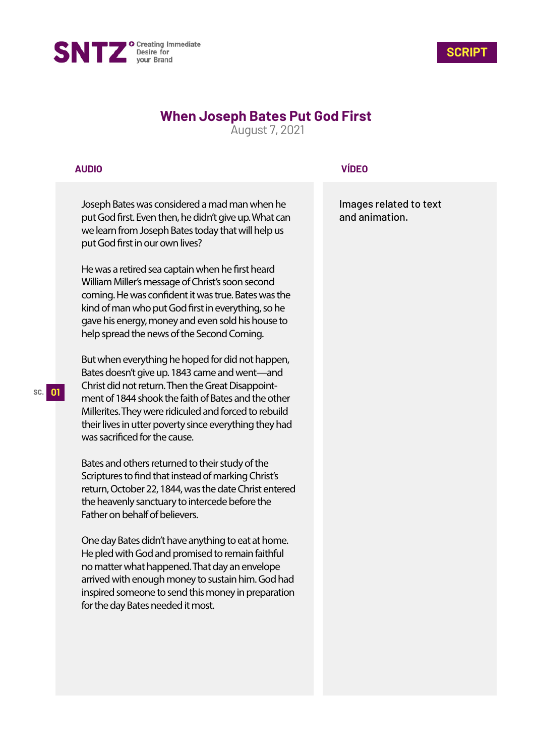



# **When Joseph Bates Put God First**

August 7, 2021

## **AUDIO**

Joseph Bates was considered a mad man when he put God first. Even then, he didn't give up. What can we learn from Joseph Bates today that will help us put God first in our own lives?

He was a retired sea captain when he first heard William Miller's message of Christ's soon second coming. He was confident it was true. Bates was the kind of man who put God first in everything, so he gave his energy, money and even sold his house to help spread the news of the Second Coming.

But when everything he hoped for did not happen, Bates doesn't give up. 1843 came and went—and Christ did not return. Then the Great Disappointment of 1844 shook the faith of Bates and the other Millerites. They were ridiculed and forced to rebuild their lives in utter poverty since everything they had was sacrificed for the cause.

Bates and others returned to their study of the Scriptures to find that instead of marking Christ's return, October 22, 1844, was the date Christ entered the heavenly sanctuary to intercede before the Father on behalf of believers.

One day Bates didn't have anything to eat at home. He pled with God and promised to remain faithful no matter what happened. That day an envelope arrived with enough money to sustain him. God had inspired someone to send this money in preparation for the day Bates needed it most.

# **VÍDEO**

Images related to text and animation.